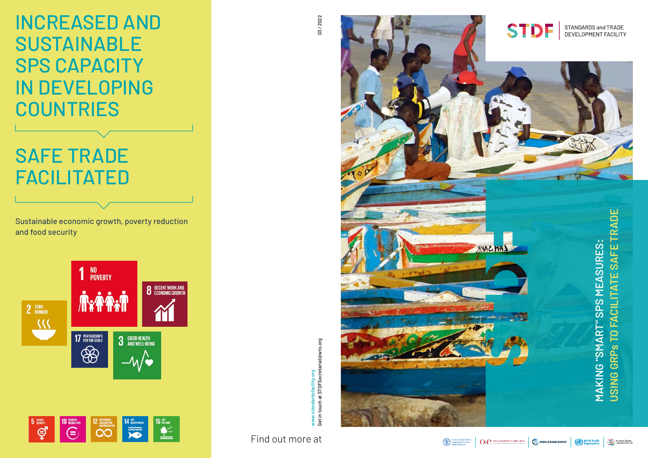

www.standardsfacility.org

Get in touch at STDFSecretariat@wto.org

et in touch at STDFSecretariat@wto.org









03/2022 03 / 2022

Find out more at

Sustainable economic growth, poverty reduction and food security





# SAFE TRADE FACILITATED

INCREASED AND SUSTAINABLE SPS CAPACITY IN DEVELOPING COUNTRIES